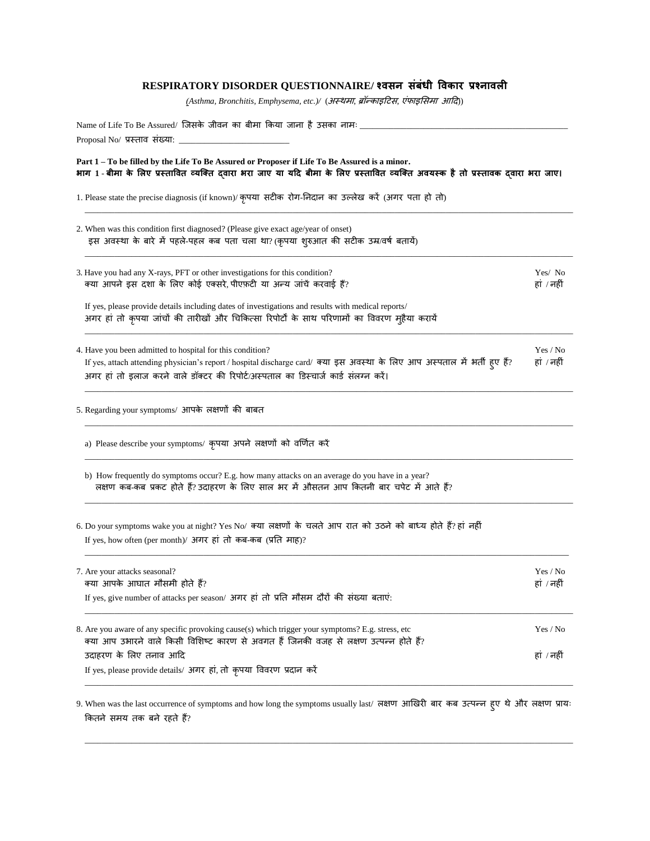## **RESPIRATORY DISORDER QUESTIONNAIRE/ श्वसन संबंधी ववकार प्रश्नावली**

*(Asthma, Bronchitis, Emphysema, etc.)/* (अस्थमा, ब्रॉन्काइटिस, एंफाइससमा आटि))

| Name of Life To Be Assured/ जिसके जीवन का बीमा किया जाना है उसका नामः ________<br>Proposal No/ प्रस्ताव संख्या: _________                                                                                                                                                      |                        |  |  |  |  |
|--------------------------------------------------------------------------------------------------------------------------------------------------------------------------------------------------------------------------------------------------------------------------------|------------------------|--|--|--|--|
| Part 1 – To be filled by the Life To Be Assured or Proposer if Life To Be Assured is a minor.<br>भाग 1 - बीमा के लिए प्रस्तावित व्यक्ति दवारा भरा जाए या यदि बीमा के लिए प्रस्तावित व्यक्ति अवयस्क है तो प्रस्तावक दवारा भरा जाए।                                              |                        |  |  |  |  |
| 1. Please state the precise diagnosis (if known)/ कृपया सटीक रोग-निदान का उल्लेख करें (अगर पता हो तो)                                                                                                                                                                          |                        |  |  |  |  |
| 2. When was this condition first diagnosed? (Please give exact age/year of onset)<br>इस अवस्था के बारे में पहले-पहल कब पता चला था? (कृपया शुरुआत की सटीक उम्र/वर्ष बतायें)                                                                                                     |                        |  |  |  |  |
| 3. Have you had any X-rays, PFT or other investigations for this condition?<br>क्या आपने इस दशा के लिए कोई एक्सरे, पीएफ़टी या अन्य जांचें करवाई हैं?                                                                                                                           | Yes/No<br>हां / नहीं   |  |  |  |  |
| If yes, please provide details including dates of investigations and results with medical reports/<br>अगर हां तो कृपया जांचों की तारीखों और चिकित्सा रिपोर्टों के साथ परिणामों का विवरण मुहैया करायें                                                                          |                        |  |  |  |  |
| 4. Have you been admitted to hospital for this condition?<br>If yes, attach attending physician's report / hospital discharge card/ क्या इस अवस्था के लिए आप अस्पताल में भर्ती हुए हैं?<br>अगर हां तो इलाज करने वाले डॉक्टर की रिपोर्ट/अस्पताल का डिस्चार्ज कार्ड संलग्न करें। | Yes / No<br>हां / नहीं |  |  |  |  |
| 5. Regarding your symptoms/ आपके लक्षणों की बाबत                                                                                                                                                                                                                               |                        |  |  |  |  |
| a) Please describe your symptoms/ कृपया अपने लक्षणों को वर्णित करें                                                                                                                                                                                                            |                        |  |  |  |  |
| b) How frequently do symptoms occur? E.g. how many attacks on an average do you have in a year?<br>लक्षण कब-कब प्रकट होते हैं? उदाहरण के लिए साल भर में औसतन आप कितनी बार चपेट में आते हैं?                                                                                    |                        |  |  |  |  |
| 6. Do your symptoms wake you at night? Yes No/ क्या लक्षणों के चलते आप रात को उठने को बाध्य होते हैं? हां नहीं<br>If yes, how often (per month)/ अगर हां तो कब-कब (प्रति माह)?                                                                                                 |                        |  |  |  |  |
| 7. Are your attacks seasonal?<br>क्या आपके आघात मौसमी होते हैं?                                                                                                                                                                                                                | Yes / No<br>हां / नहीं |  |  |  |  |
| If yes, give number of attacks per season/ अगर हां तो प्रति मौसम दौरों की संख्या बताएं:                                                                                                                                                                                        |                        |  |  |  |  |
| 8. Are you aware of any specific provoking cause(s) which trigger your symptoms? E.g. stress, etc<br>क्या आप उभारने वाले किसी विशिष्ट कारण से अवगत हैं जिनकी वजह से लक्षण उत्पन्न होते हैं?                                                                                    | Yes / No               |  |  |  |  |
| उदाहरण के लिए तनाव आदि<br>If yes, please provide details/ अगर हां, तो कृपया विवरण प्रदान करें                                                                                                                                                                                  | हां / नहीं             |  |  |  |  |

9. When was the last occurrence of symptoms and how long the symptoms usually last/ लक्षण आर्खरी बार कब उत्पन्न हुए थेऔर लक्षण प्रायः ककतने समय तक बने रहते हैं?

\_\_\_\_\_\_\_\_\_\_\_\_\_\_\_\_\_\_\_\_\_\_\_\_\_\_\_\_\_\_\_\_\_\_\_\_\_\_\_\_\_\_\_\_\_\_\_\_\_\_\_\_\_\_\_\_\_\_\_\_\_\_\_\_\_\_\_\_\_\_\_\_\_\_\_\_\_\_\_\_\_\_\_\_\_\_\_\_\_\_\_\_\_\_\_\_\_\_\_\_\_\_\_\_\_\_\_\_\_\_\_\_\_\_\_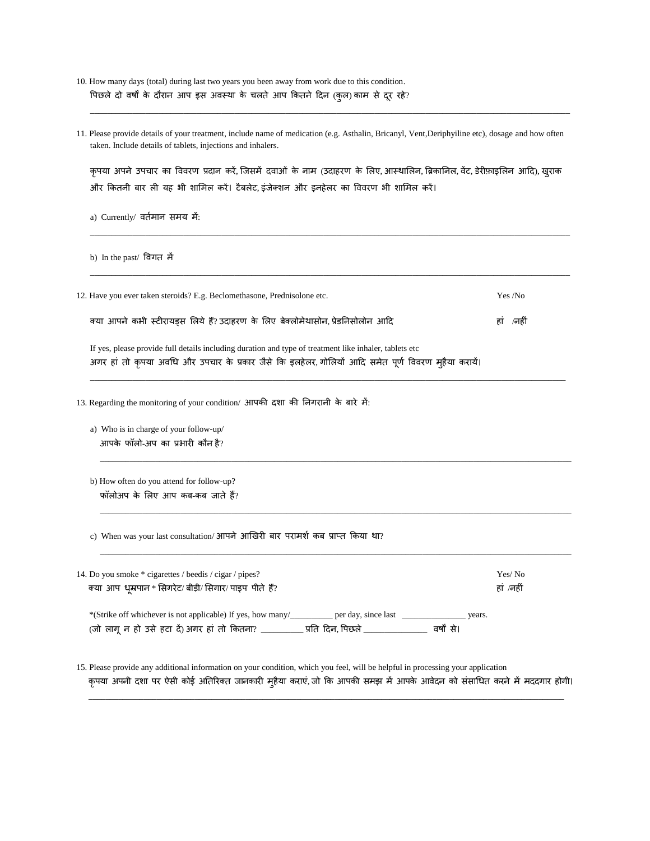- 10. How many days (total) during last two years you been away from work due to this condition. पिछले दो वर्षों के दौरान आप इस अवस्था के चलते आप कितने दिन (कुल) काम से दूर रहे?
- 11. Please provide details of your treatment, include name of medication (e.g. Asthalin, Bricanyl, Vent,Deriphyiline etc), dosage and how often taken. Include details of tablets, injections and inhalers.

\_\_\_\_\_\_\_\_\_\_\_\_\_\_\_\_\_\_\_\_\_\_\_\_\_\_\_\_\_\_\_\_\_\_\_\_\_\_\_\_\_\_\_\_\_\_\_\_\_\_\_\_\_\_\_\_\_\_\_\_\_\_\_\_\_\_\_\_\_\_\_\_\_\_\_\_\_\_\_\_\_\_\_\_\_\_\_\_\_\_\_\_\_\_\_\_\_\_\_\_\_\_\_\_\_\_\_\_\_\_\_\_\_

कृपया अपने उपचार का विवरण प्रदान करें, जिसमें दवाओं के नाम (उदाहरण के लिए, आस्थालिन, ब्रिकानिल, वेंट, डेरीफ़ाइलिन आदि), खुराक और कितनी बार ली यह भी शामिल करें। टैबलेट, इंजेक्शन और इनहेलर का विवरण भी शामिल करें।

\_\_\_\_\_\_\_\_\_\_\_\_\_\_\_\_\_\_\_\_\_\_\_\_\_\_\_\_\_\_\_\_\_\_\_\_\_\_\_\_\_\_\_\_\_\_\_\_\_\_\_\_\_\_\_\_\_\_\_\_\_\_\_\_\_\_\_\_\_\_\_\_\_\_\_\_\_\_\_\_\_\_\_\_\_\_\_\_\_\_\_\_\_\_\_\_\_\_\_\_\_\_\_\_\_\_\_\_\_\_\_\_\_

\_\_\_\_\_\_\_\_\_\_\_\_\_\_\_\_\_\_\_\_\_\_\_\_\_\_\_\_\_\_\_\_\_\_\_\_\_\_\_\_\_\_\_\_\_\_\_\_\_\_\_\_\_\_\_\_\_\_\_\_\_\_\_\_\_\_\_\_\_\_\_\_\_\_\_\_\_\_\_\_\_\_\_\_\_\_\_\_\_\_\_\_\_\_\_\_\_\_\_\_\_\_\_\_\_\_\_\_\_\_\_\_\_

a) Currently/ वर्तमान समय में:

b) In the past/ ववगत में

| 12. Have you ever taken steroids? E.g. Beclomethasone, Prednisolone etc.                                                                                                                                       | Yes /No   |
|----------------------------------------------------------------------------------------------------------------------------------------------------------------------------------------------------------------|-----------|
| क्या आपने कभी स्टीरायड्स लिये हैं? उदाहरण के लिए बेक्लोमेथासोन, प्रेडनिसोलोन आदि                                                                                                                               | हां /नहीं |
| If yes, please provide full details including duration and type of treatment like inhaler, tablets etc<br>अगर हां तो कृपया अवधि और उपचार के प्रकार जैसे कि इलहेलर, गोलियों आदि समेत पूर्ण विवरण मुहैया करायें। |           |

\_\_\_\_\_\_\_\_\_\_\_\_\_\_\_\_\_\_\_\_\_\_\_\_\_\_\_\_\_\_\_\_\_\_\_\_\_\_\_\_\_\_\_\_\_\_\_\_\_\_\_\_\_\_\_\_\_\_\_\_\_\_\_\_\_\_\_\_\_\_\_\_\_\_\_\_\_\_\_\_\_\_\_\_\_\_\_\_\_\_\_\_\_\_\_\_\_\_\_\_\_\_\_\_\_\_\_\_\_\_\_\_

 $\_$  , and the set of the set of the set of the set of the set of the set of the set of the set of the set of the set of the set of the set of the set of the set of the set of the set of the set of the set of the set of th

\_\_\_\_\_\_\_\_\_\_\_\_\_\_\_\_\_\_\_\_\_\_\_\_\_\_\_\_\_\_\_\_\_\_\_\_\_\_\_\_\_\_\_\_\_\_\_\_\_\_\_\_\_\_\_\_\_\_\_\_\_\_\_\_\_\_\_\_\_\_\_\_\_\_\_\_\_\_\_\_\_\_\_\_\_\_\_\_\_\_\_\_\_\_\_\_\_\_\_\_\_\_\_\_\_\_\_\_\_\_\_

\_\_\_\_\_\_\_\_\_\_\_\_\_\_\_\_\_\_\_\_\_\_\_\_\_\_\_\_\_\_\_\_\_\_\_\_\_\_\_\_\_\_\_\_\_\_\_\_\_\_\_\_\_\_\_\_\_\_\_\_\_\_\_\_\_\_\_\_\_\_\_\_\_\_\_\_\_\_\_\_\_\_\_\_\_\_\_\_\_\_\_\_\_\_\_\_\_\_\_\_\_\_\_\_\_\_\_\_\_\_\_

13. Regarding the monitoring of your condition/ आपकी दशा की निगरानी के बारे में:

a) Who is in charge of your follow-up/ आपके फॉलो-अप का प्रभारी कौन है?

b) How often do you attend for follow-up? फॉलोअप के लिए आप कब-कब जाते हैं?

c) When was your last consultation/ आपने आखिरी बार परामर्श कब प्राप्त किया था?

| 14. Do you smoke * cigarettes / beedis / cigar / pipes?                                                                                                                           | Yes/No    |
|-----------------------------------------------------------------------------------------------------------------------------------------------------------------------------------|-----------|
| क्या आप धूम्रपान * सिगरेट/ बीड़ी/ सिगार/ पाइप पीते हैं?                                                                                                                           | हां /नहीं |
| *(Strike off whichever is not applicable) If yes, how many/<br>per day, since last<br>vears.<br>(जो लागू न हो उसे हटा दें) अगर हां तो कितना?<br>़प्रति दिन, पिछले  <br>वर्षों से। |           |

15. Please provide any additional information on your condition, which you feel, will be helpful in processing your application कृपया अपनी दशा पर ऐसी कोई अतिरिक्त जानकारी मुहैया कराएं, जो कि आपकी समझ में आपके आवेदन को संसाधित करने में मददगार होगी।

\_\_\_\_\_\_\_\_\_\_\_\_\_\_\_\_\_\_\_\_\_\_\_\_\_\_\_\_\_\_\_\_\_\_\_\_\_\_\_\_\_\_\_\_\_\_\_\_\_\_\_\_\_\_\_\_\_\_\_\_\_\_\_\_\_\_\_\_\_\_\_\_\_\_\_\_\_\_\_\_\_\_\_\_\_\_\_\_\_\_\_\_\_\_\_\_\_\_\_\_\_\_\_\_\_\_\_\_\_\_\_\_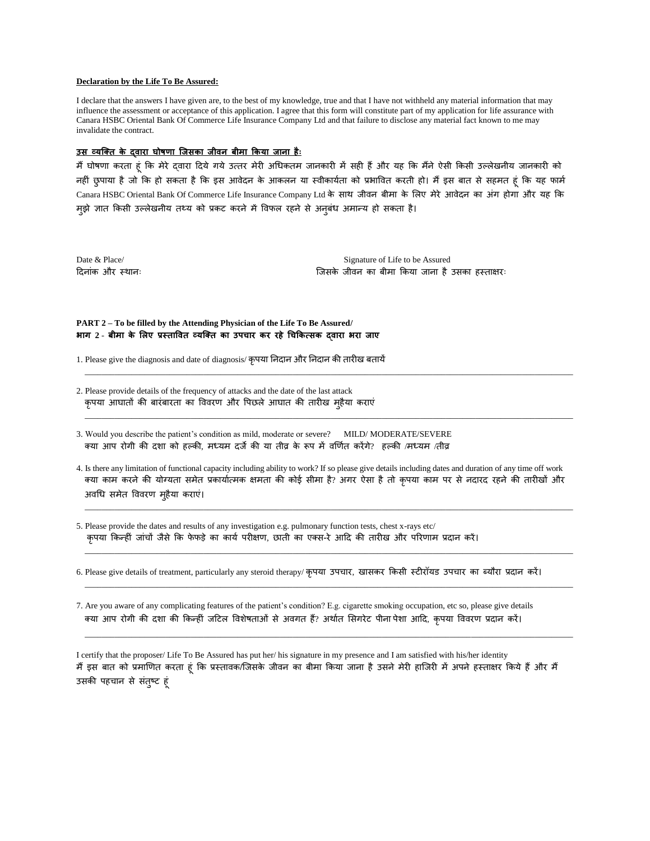## **Declaration by the Life To Be Assured:**

I declare that the answers I have given are, to the best of my knowledge, true and that I have not withheld any material information that may influence the assessment or acceptance of this application. I agree that this form will constitute part of my application for life assurance with Canara HSBC Oriental Bank Of Commerce Life Insurance Company Ltd and that failure to disclose any material fact known to me may invalidate the contract.

## **उस व्यक्तत के द्वारा घोषणा क्जसका जीवन बीमा ककया जाना हैैः**

मैं घोषणा करता हूं कि मेरे द्वारा दिये गये उत्तर मेरी अधिकतम जानकारी में सही हैं और यह कि मैंने ऐसी किसी उल्लेखनीय जानकारी को नहीं छुपाया है जो कि हो सकता है कि इस आवेदन के आकलन या स्वीकार्यता को प्रभावित करती हो। मैं इस बात से सहमत हूं कि यह फार्म Canara HSBC Oriental Bank Of Commerce Life Insurance Company Ltd के साथ जीवन बीमा के लिए मेरे आवेदन का अंग होगा और यह कि मुझे ज्ञात किसी उल्लेखनीय तथ्य को प्रकट करने में विफल रहने से अनुबंध अमान्य हो सकता है।

Date & Place/ Signature of Life to be Assured टिनांक और स्थानः जिसके िीवन का बीमा ककया िाना हैउसका हस्ताक्षरः

## **PART 2 – To be filled by the Attending Physician of the Life To Be Assured/ भाग 2** - **बीमा के ललए प्रस्ताववत व्यक्तत का उपचार कर रहे चचककत्सक द्वारा भरा जाए**

- 1. Please give the diagnosis and date of diagnosis/ कृपया निदान और निदान की तारीख बतायें
- 2. Please provide details of the frequency of attacks and the date of the last attack कृपया आघातों की बारंबारता का वववरण और वपछले आघात की तारीख महुैया कराएं
- 3. Would you describe the patient's condition as mild, moderate or severe? MILD/ MODERATE/SEVERE क्या आप रोगी की दशा को हल्की, मध्यम दर्जे की या तीव्र के रूप में वर्णित करेंगे? हल्की /मध्यम /तीव्र
- 4. Is there any limitation of functional capacity including ability to work? If so please give details including dates and duration of any time off work क्या काम करने की योग्यता समेत प्रकार्यात्मक क्षमता की कोई सीमा है? अगर ऐसा है तो कृपया काम पर से नदारद रहने की तारीखों और अवचि समेत वववरण महुैया कराएं।

\_\_\_\_\_\_\_\_\_\_\_\_\_\_\_\_\_\_\_\_\_\_\_\_\_\_\_\_\_\_\_\_\_\_\_\_\_\_\_\_\_\_\_\_\_\_\_\_\_\_\_\_\_\_\_\_\_\_\_\_\_\_\_\_\_\_\_\_\_\_\_\_\_\_\_\_\_\_\_\_\_\_\_\_\_\_\_\_\_\_\_\_\_\_\_\_\_\_\_\_\_\_\_\_\_\_\_\_\_\_\_\_\_\_\_

\_\_\_\_\_\_\_\_\_\_\_\_\_\_\_\_\_\_\_\_\_\_\_\_\_\_\_\_\_\_\_\_\_\_\_\_\_\_\_\_\_\_\_\_\_\_\_\_\_\_\_\_\_\_\_\_\_\_\_\_\_\_\_\_\_\_\_\_\_\_\_\_\_\_\_\_\_\_\_\_\_\_\_\_\_\_\_\_\_\_\_\_\_\_\_\_\_\_\_\_\_\_\_\_\_\_\_\_\_\_\_\_\_\_\_

\_\_\_\_\_\_\_\_\_\_\_\_\_\_\_\_\_\_\_\_\_\_\_\_\_\_\_\_\_\_\_\_\_\_\_\_\_\_\_\_\_\_\_\_\_\_\_\_\_\_\_\_\_\_\_\_\_\_\_\_\_\_\_\_\_\_\_\_\_\_\_\_\_\_\_\_\_\_\_\_\_\_\_\_\_\_\_\_\_\_\_\_\_\_\_\_\_\_\_\_\_\_\_\_\_\_\_\_\_\_\_\_\_\_\_

\_\_\_\_\_\_\_\_\_\_\_\_\_\_\_\_\_\_\_\_\_\_\_\_\_\_\_\_\_\_\_\_\_\_\_\_\_\_\_\_\_\_\_\_\_\_\_\_\_\_\_\_\_\_\_\_\_\_\_\_\_\_\_\_\_\_\_\_\_\_\_\_\_\_\_\_\_\_\_\_\_\_\_\_\_\_\_\_\_\_\_\_\_\_\_\_\_\_\_\_\_\_\_\_\_\_\_\_\_\_\_\_\_\_\_

\_\_\_\_\_\_\_\_\_\_\_\_\_\_\_\_\_\_\_\_\_\_\_\_\_\_\_\_\_\_\_\_\_\_\_\_\_\_\_\_\_\_\_\_\_\_\_\_\_\_\_\_\_\_\_\_\_\_\_\_\_\_\_\_\_\_\_\_\_\_\_\_\_\_\_\_\_\_\_\_\_\_\_\_\_\_\_\_\_\_\_\_\_\_\_\_\_\_\_\_\_\_\_\_\_\_\_\_\_\_\_\_\_\_\_

\_\_\_\_\_\_\_\_\_\_\_\_\_\_\_\_\_\_\_\_\_\_\_\_\_\_\_\_\_\_\_\_\_\_\_\_\_\_\_\_\_\_\_\_\_\_\_\_\_\_\_\_\_\_\_\_\_\_\_\_\_\_\_\_\_\_\_\_\_\_\_\_\_\_\_\_\_\_\_\_\_\_\_\_\_\_\_\_\_\_\_\_\_\_\_\_\_\_\_\_\_\_\_\_\_\_\_\_\_\_\_\_\_\_\_

5. Please provide the dates and results of any investigation e.g. pulmonary function tests, chest x-rays etc/ कृपया किन्हीं जांचों जैसे कि फेफड़े का कार्य परीक्षण, छाती का एक्स-रे आदि की तारीख और परिणाम प्रदान करें।

6. Please give details of treatment, particularly any steroid therapy/ कृपया उपचार, खासकर किसी स्टीरॉयड उपचार का ब्यौरा प्रदान करें।

7. Are you aware of any complicating features of the patient's condition? E.g. cigarette smoking occupation, etc so, please give details क्या आप रोगी की िशा की ककन्हीं िटिल ववशेर्ताओं से अवगत हैं? अथाषत ससगरेि पीना पेशा आटि, कृपया वववरण प्रिान करें।

I certify that the proposer/ Life To Be Assured has put her/ his signature in my presence and I am satisfied with his/her identity मैं इस बात को प्रमाणित करता हूं कि प्रस्तावक/जिसके जीवन का बीमा किया जाना है उसने मेरी हाजिरी में अपने हस्ताक्षर किये हैं और मैं उसकी पहचान से संतुष्ट हूं